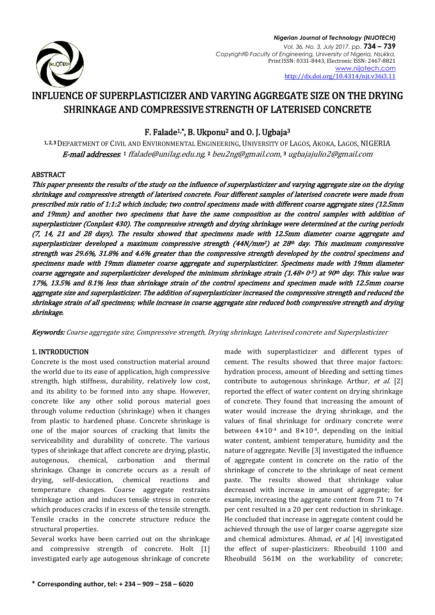

# INFLUENCE OF SUPERPLASTICIZER AND VARYING AGGREGATE SIZE ON THE DRYING SHRINKAGE AND COMPRESSIVE STRENGTH OF LATERISED CONCRETE

# F. Falade1,\*, B. Ukponu2 and O. J. Ugbaja<sup>3</sup>

1, 2, <sup>3</sup> DEPARTMENT OF CIVIL AND ENVIRONMENTAL ENGINEERING, UNIVERSITY OF LAGOS, AKOKA, LAGOS, NIGERIA **E-mail addresses**: 1 [ffalade@unilag.edu.ng,](mailto:ffalade@unilag.edu.ng) 2 [beu2ng@gmail.com](mailto:beu2ng@gmail.com), 3 [ugbajajulio2@gmail.com](mailto:ugbajajulio2@gmail.com)

# ABSTRACT

This paper presents the results of the study on the influence of superplasticizer and varying aggregate size on the drying shrinkage and compressive strength of laterised concrete. Four different samples of laterised concrete were made from prescribed mix ratio of 1:1:2 which include; two control specimens made with different coarse aggregate sizes (12.5mm and 19mm) and another two specimens that have the same composition as the control samples with addition of superplasticizer (Conplast 430). The compressive strength and drying shrinkage were determined at the curing periods (7, 14, 21 and 28 days). The results showed that specimens made with 12.5mm diameter coarse aggregate and superplasticizer developed a maximum compressive strength (44N/mm2) at 28th day. This maximum compressive strength was 29.6%, 31.8% and 4.6% greater than the compressive strength developed by the control specimens and specimens made with 19mm diameter coarse aggregate and superplasticizer. Specimens made with 19mm diameter coarse aggregate and superplasticizer developed the minimum shrinkage strain (1.48 $\times$ 0<sup>-3</sup>) at 90<sup>th</sup> day. This value was 17%, 13.5% and 8.1% less than shrinkage strain of the control specimens and specimen made with 12.5mm coarse aggregate size and superplasticizer. The addition of superplasticizer increased the compressive strength and reduced the shrinkage strain of all specimens; while increase in coarse aggregate size reduced both compressive strength and drying shrinkage.

Keywords: Coarse aggregate size, Compressive strength, Drying shrinkage, Laterised concrete and Superplasticizer

# 1. INTRODUCTION

Concrete is the most used construction material around the world due to its ease of application, high compressive strength, high stiffness, durability, relatively low cost, and its ability to be formed into any shape. However, concrete like any other solid porous material goes through volume reduction (shrinkage) when it changes from plastic to hardened phase. Concrete shrinkage is one of the major sources of cracking that limits the serviceability and durability of concrete. The various types of shrinkage that affect concrete are drying, plastic, autogenous, chemical, carbonation and thermal shrinkage. Change in concrete occurs as a result of drying, self-desiccation, chemical reactions and temperature changes. Coarse aggregate restrains shrinkage action and induces tensile stress in concrete which produces cracks if in excess of the tensile strength. Tensile cracks in the concrete structure reduce the structural properties.

Several works have been carried out on the shrinkage and compressive strength of concrete. Holt [1] investigated early age autogenous shrinkage of concrete made with superplasticizer and different types of cement. The results showed that three major factors: hydration process, amount of bleeding and setting times contribute to autogenous shrinkage. Arthur, et al. [2] reported the effect of water content on drying shrinkage of concrete. They found that increasing the amount of water would increase the drying shrinkage, and the values of final shrinkage for ordinary concrete were between  $4 \times 10^{-4}$  and  $8 \times 10^{-4}$ , depending on the initial water content, ambient temperature, humidity and the nature of aggregate. Neville [3] investigated the influence of aggregate content in concrete on the ratio of the shrinkage of concrete to the shrinkage of neat cement paste. The results showed that shrinkage value decreased with increase in amount of aggregate; for example, increasing the aggregate content from 71 to 74 per cent resulted in a 20 per cent reduction in shrinkage. He concluded that increase in aggregate content could be achieved through the use of larger coarse aggregate size and chemical admixtures. Ahmad, et al. [4] investigated the effect of super-plasticizers: Rheobuild 1100 and Rheobuild 561M on the workability of concrete;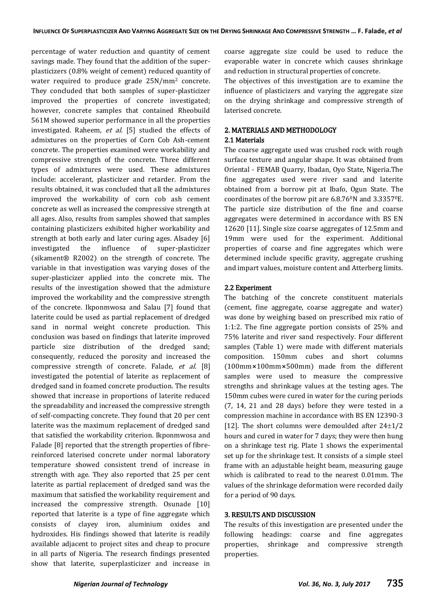percentage of water reduction and quantity of cement savings made. They found that the addition of the superplasticizers (0.8% weight of cement) reduced quantity of water required to produce grade 25N/mm<sup>2</sup> concrete. They concluded that both samples of super-plasticizer improved the properties of concrete investigated; however, concrete samples that contained Rheobuild 561M showed superior performance in all the properties investigated. Raheem, et al. [5] studied the effects of admixtures on the properties of Corn Cob Ash-cement concrete. The properties examined were workability and compressive strength of the concrete. Three different types of admixtures were used. These admixtures include: accelerant, plasticizer and retarder. From the results obtained, it was concluded that all the admixtures improved the workability of corn cob ash cement concrete as well as increased the compressive strength at all ages. Also, results from samples showed that samples containing plasticizers exhibited higher workability and strength at both early and later curing ages. Alsadey [6] investigated the influence of super-plasticizer (sikament® R2002) on the strength of concrete. The variable in that investigation was varying doses of the super-plasticizer applied into the concrete mix. The results of the investigation showed that the admixture improved the workability and the compressive strength of the concrete. Ikponmwosa and Salau [7] found that laterite could be used as partial replacement of dredged sand in normal weight concrete production. This conclusion was based on findings that laterite improved particle size distribution of the dredged sand; consequently, reduced the porosity and increased the compressive strength of concrete. Falade, et al. [8] investigated the potential of laterite as replacement of dredged sand in foamed concrete production. The results showed that increase in proportions of laterite reduced the spreadability and increased the compressive strength of self-compacting concrete. They found that 20 per cent laterite was the maximum replacement of dredged sand that satisfied the workability criterion. Ikponmwosa and Falade [8] reported that the strength properties of fibrereinforced laterised concrete under normal laboratory temperature showed consistent trend of increase in strength with age. They also reported that 25 per cent laterite as partial replacement of dredged sand was the maximum that satisfied the workability requirement and increased the compressive strength. Osunade [10] reported that laterite is a type of fine aggregate which consists of clayey iron, aluminium oxides and hydroxides. His findings showed that laterite is readily available adjacent to project sites and cheap to procure in all parts of Nigeria. The research findings presented show that laterite, superplasticizer and increase in

coarse aggregate size could be used to reduce the evaporable water in concrete which causes shrinkage and reduction in structural properties of concrete.

The objectives of this investigation are to examine the influence of plasticizers and varying the aggregate size on the drying shrinkage and compressive strength of laterised concrete.

# 2. MATERIALS AND METHODOLOGY

#### 2.1 Materials

The coarse aggregate used was crushed rock with rough surface texture and angular shape. It was obtained from Oriental - FEMAB Quarry, Ibadan, Oyo State, Nigeria.The fine aggregates used were river sand and laterite obtained from a borrow pit at Ibafo, Ogun State. The coordinates of the borrow pit are 6.8.760N and 3.33570E. The particle size distribution of the fine and coarse aggregates were determined in accordance with BS EN 12620 [11]. Single size coarse aggregates of 12.5mm and 19mm were used for the experiment. Additional properties of coarse and fine aggregates which were determined include specific gravity, aggregate crushing and impart values, moisture content and Atterberg limits.

#### 2.2 Experiment

The batching of the concrete constituent materials (cement, fine aggregate, coarse aggregate and water) was done by weighing based on prescribed mix ratio of 1:1:2. The fine aggregate portion consists of 25% and 75% laterite and river sand respectively. Four different samples (Table 1) were made with different materials composition. 150mm cubes and short columns (100mm⨯100mm⨯500mm) made from the different samples were used to measure the compressive strengths and shrinkage values at the testing ages. The 150mm cubes were cured in water for the curing periods (7, 14, 21 and 28 days) before they were tested in a compression machine in accordance with BS EN 12390-3 [12]. The short columns were demoulded after  $24\pm1/2$ hours and cured in water for 7 days; they were then hung on a shrinkage test rig. Plate 1 shows the experimental set up for the shrinkage test. It consists of a simple steel frame with an adjustable height beam, measuring gauge which is calibrated to read to the nearest 0.01mm. The values of the shrinkage deformation were recorded daily for a period of 90 days.

#### 3. RESULTS AND DISCUSSION

The results of this investigation are presented under the following headings: coarse and fine aggregates properties, shrinkage and compressive strength properties.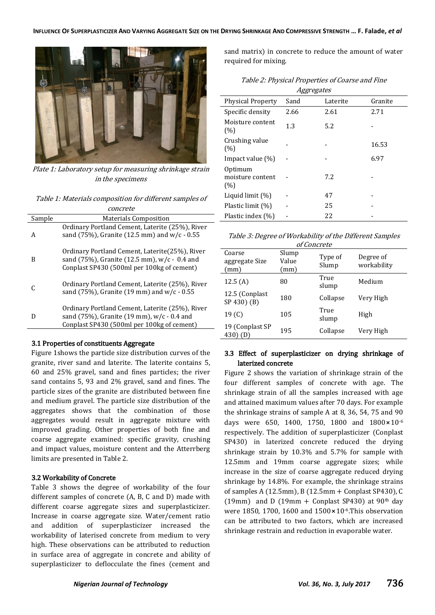

Plate 1: Laboratory setup for measuring shrinkage strain in the specimens

Table 1: Materials composition for different samples of concrete

| Sample | <b>Materials Composition</b>                                                                                                                  |  |  |
|--------|-----------------------------------------------------------------------------------------------------------------------------------------------|--|--|
| A      | Ordinary Portland Cement, Laterite (25%), River<br>sand (75%), Granite (12.5 mm) and w/c - 0.55                                               |  |  |
| B      | Ordinary Portland Cement, Laterite (25%), River<br>sand (75%), Granite (12.5 mm), w/c - 0.4 and<br>Conplast SP430 (500ml per 100kg of cement) |  |  |
|        | Ordinary Portland Cement, Laterite (25%), River<br>sand (75%), Granite (19 mm) and w/c - 0.55                                                 |  |  |
|        | Ordinary Portland Cement, Laterite (25%), River<br>sand (75%), Granite (19 mm), w/c - 0.4 and<br>Conplast SP430 (500ml per 100kg of cement)   |  |  |
|        |                                                                                                                                               |  |  |

#### 3.1 Properties of constituents Aggregate

Figure 1shows the particle size distribution curves of the granite, river sand and laterite. The laterite contains 5, 60 and 25% gravel, sand and fines particles; the river sand contains 5, 93 and 2% gravel, sand and fines. The particle sizes of the granite are distributed between fine and medium gravel. The particle size distribution of the aggregates shows that the combination of those aggregates would result in aggregate mixture with improved grading. Other properties of both fine and coarse aggregate examined: specific gravity, crushing and impact values, moisture content and the Atterrberg limits are presented in Table 2.

# 3.2 Workability of Concrete

Table 3 shows the degree of workability of the four different samples of concrete (A, B, C and D) made with different coarse aggregate sizes and superplasticizer. Increase in coarse aggregate size. Water/cement ratio and addition of superplasticizer increased the workability of laterised concrete from medium to very high. These observations can be attributed to reduction in surface area of aggregate in concrete and ability of superplasticizer to deflocculate the fines (cement and sand matrix) in concrete to reduce the amount of water required for mixing.

| Table 2: Physical Properties of Coarse and Fine |
|-------------------------------------------------|
| Aggregates                                      |

| <i>Aggregates</i>                  |      |          |         |  |  |  |
|------------------------------------|------|----------|---------|--|--|--|
| <b>Physical Property</b>           | Sand | Laterite | Granite |  |  |  |
| Specific density                   | 2.66 | 2.61     | 2.71    |  |  |  |
| Moisture content<br>(%)            | 1.3  | 5.2      |         |  |  |  |
| Crushing value<br>(%)              |      |          | 16.53   |  |  |  |
| Impact value $(\%)$                |      |          | 6.97    |  |  |  |
| Optimum<br>moisture content<br>(%) |      | 7.2      |         |  |  |  |
| Liquid limit $(\%)$                |      | 47       |         |  |  |  |
| Plastic limit (%)                  |      | 25       |         |  |  |  |
| Plastic index $(\%)$               |      | 22       |         |  |  |  |

|  | Table 3: Degree of Workability of the Different Samples |
|--|---------------------------------------------------------|
|  |                                                         |

| of Concrete                      |                        |                  |                          |  |  |  |
|----------------------------------|------------------------|------------------|--------------------------|--|--|--|
| Coarse<br>aggregate Size<br>(mm) | Slump<br>Value<br>(mm) | Type of<br>Slump | Degree of<br>workability |  |  |  |
| 12.5(A)                          | 80                     | True<br>slump    | Medium                   |  |  |  |
| 12.5 (Conplast)<br>SP 430) (B)   | 180                    | Collapse         | Very High                |  |  |  |
| 19 <sub>(C)</sub>                | 105                    | True<br>slump    | High                     |  |  |  |
| 19 (Conplast SP<br>$430)$ (D)    | 195                    | Collapse         | Very High                |  |  |  |

#### 3.3 Effect of superplasticizer on drying shrinkage of laterized concrete

Figure 2 shows the variation of shrinkage strain of the four different samples of concrete with age. The shrinkage strain of all the samples increased with age and attained maximum values after 70 days. For example the shrinkage strains of sample A at 8, 36, 54, 75 and 90 days were 650, 1400, 1750, 1800 and  $1800 \times 10^{-6}$ respectively. The addition of superplasticizer (Conplast SP430) in laterized concrete reduced the drying shrinkage strain by 10.3% and 5.7% for sample with 12.5mm and 19mm coarse aggregate sizes; while increase in the size of coarse aggregate reduced drying shrinkage by 14.8%. For example, the shrinkage strains of samples A (12.5mm), B (12.5mm + Conplast SP430), C (19mm) and D (19mm + Conplast SP430) at 90<sup>th</sup> day were 1850, 1700, 1600 and 1500×10<sup>-6</sup>. This observation can be attributed to two factors, which are increased shrinkage restrain and reduction in evaporable water.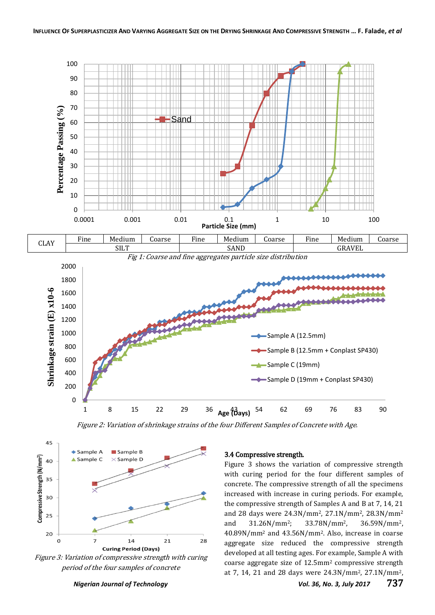



Figure 2: Variation of shrinkage strains of the four Different Samples of Concrete with Age.



Figure 3: Variation of compressive strength with curing period of the four samples of concrete

#### 3.4 Compressive strength.

Figure 3 shows the variation of compressive strength with curing period for the four different samples of concrete. The compressive strength of all the specimens increased with increase in curing periods. For example, the compressive strength of Samples A and B at 7, 14, 21 and 28 days were 24.3N/mm2, 27.1N/mm2, 28.3N/mm<sup>2</sup> and 31.26N/mm2; 33.78N/mm2, 36.59N/mm2, 40.89N/mm<sup>2</sup> and 43.56N/mm2. Also, increase in coarse aggregate size reduced the compressive strength developed at all testing ages. For example, Sample A with coarse aggregate size of 12.5mm<sup>2</sup> compressive strength at 7, 14, 21 and 28 days were 24.3N/mm2, 27.1N/mm2,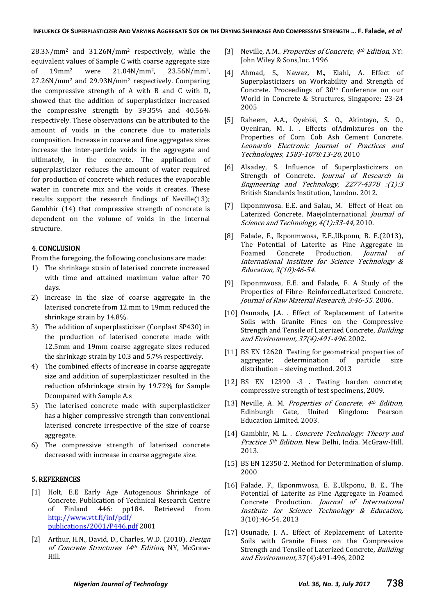28.3N/mm<sup>2</sup> and 31.26N/mm<sup>2</sup> respectively, while the equivalent values of Sample C with coarse aggregate size of 19mm<sup>2</sup> were 21.04N/mm2, 23.56N/mm2, 27.26N/mm<sup>2</sup> and 29.93N/mm<sup>2</sup> respectively. Comparing the compressive strength of A with B and C with D, showed that the addition of superplasticizer increased the compressive strength by 39.35% and 40.56% respectively. These observations can be attributed to the amount of voids in the concrete due to materials composition. Increase in coarse and fine aggregates sizes increase the inter-particle voids in the aggregate and ultimately, in the concrete. The application of superplasticizer reduces the amount of water required for production of concrete which reduces the evaporable water in concrete mix and the voids it creates. These results support the research findings of Neville(13); Gambhir (14) that compressive strength of concrete is dependent on the volume of voids in the internal structure.

# 4. CONCLUSION

From the foregoing, the following conclusions are made:

- 1) The shrinkage strain of laterised concrete increased with time and attained maximum value after 70 days.
- 2) Increase in the size of coarse aggregate in the laterised concrete from 12.mm to 19mm reduced the shrinkage strain by 14.8%.
- 3) The addition of superplasticizer (Conplast SP430) in the production of laterised concrete made with 12.5mm and 19mm coarse aggregate sizes reduced the shrinkage strain by 10.3 and 5.7% respectively.
- 4) The combined effects of increase in coarse aggregate size and addition of superplasticizer resulted in the reduction ofshrinkage strain by 19.72% for Sample Dcompared with Sample A.s
- 5) The laterised concrete made with superplasticizer has a higher compressive strength than conventional laterised concrete irrespective of the size of coarse aggregate.
- 6) The compressive strength of laterised concrete decreased with increase in coarse aggregate size.

#### 5. REFERENCES

- [1] Holt, E.E Early Age Autogenous Shrinkage of Concrete. Publication of Technical Research Centre of Finland 446: pp184. Retrieved from [http://www.vtt.fi/inf/pdf/](http://www.vtt.fi/inf/pdf/%20publications/2001/P446.pdf)  [publications/2001/P446.pdf](http://www.vtt.fi/inf/pdf/%20publications/2001/P446.pdf) 2001
- [2] Arthur, H.N., David, D., Charles, W.D. (2010). Design of Concrete Structures 14th Edition, NY, McGraw-Hill.
- [3] Neville, A.M.. Properties of Concrete,  $4<sup>th</sup> Edition$ , NY: John Wiley & Sons,Inc. 1996
- [4] Ahmad, S., Nawaz, M., Elahi, A. Effect of Superplasticizers on Workability and Strength of Concrete. Proceedings of 30<sup>th</sup> Conference on our World in Concrete & Structures, Singapore: 23-24 2005
- [5] Raheem, A.A., Oyebisi, S. O., Akintayo, S. O., Oyeniran, M. I. . Effects ofAdmixtures on the Properties of Corn Cob Ash Cement Concrete. Leonardo Electronic Journal of Practices and Technologies, 1583-1078:13-20, 2010
- [6] Alsadey, S. Influence of Superplasticizers on Strength of Concrete. Journal of Research in Engineering and Technology, 2277-4378 :(1):3 British Standards Institution, London. 2012.
- [7] Ikponmwosa. E.E. and Salau, M. Effect of Heat on Laterized Concrete. MaejoInternational *Journal of* Science and Technology, 4(1):33-44, 2010.
- [8] Falade, F., Ikponmwosa, E.E.,Ukponu, B. E.(2013). The Potential of Laterite as Fine Aggregate in Foamed Concrete Production. Journal of International Institute for Science Technology & Education, 3(10):46-54.
- [9] Ikponmwosa, E.E. and Falade, F. A Study of the Properties of Fibre- ReinforcedLaterized Concrete. Journal of Raw Material Research, 3:46-55. 2006.
- [10] Osunade, J.A. . Effect of Replacement of Laterite Soils with Granite Fines on the Compressive Strength and Tensile of Laterized Concrete, Building and Environment, 37(4):491-496. 2002.
- [11] BS EN 12620 Testing for geometrical properties of aggregate; determination of particle size distribution – sieving method. 2013
- [12] BS EN 12390 -3 . Testing harden concrete; compressive strength of test specimens, 2009.
- [13] Neville, A. M. Properties of Concrete,  $4<sup>th</sup>$  Edition, Edinburgh Gate, United Kingdom: Pearson Education Limited. 2003.
- [14] Gambhir, M. L. . Concrete Technology: Theory and Practice 5<sup>th</sup> Edition. New Delhi, India. McGraw-Hill. 2013.
- [15] BS EN 12350-2. Method for Determination of slump. 2000
- [16] Falade, F., Ikponmwosa, E. E.,Ukponu, B. E.. The Potential of Laterite as Fine Aggregate in Foamed Concrete Production. Journal of International Institute for Science Technology & Education, 3(10):46-54. 2013
- [17] Osunade, J. A.. Effect of Replacement of Laterite Soils with Granite Fines on the Compressive Strength and Tensile of Laterized Concrete, Building and Environment, 37(4):491-496, 2002